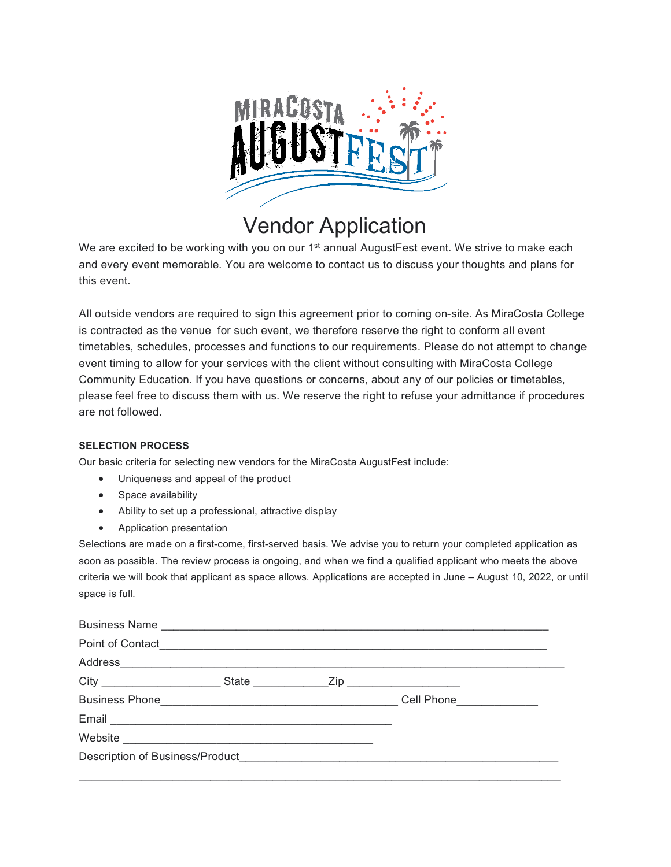

## Vendor Application

We are excited to be working with you on our 1<sup>st</sup> annual AugustFest event. We strive to make each and every event memorable. You are welcome to contact us to discuss your thoughts and plans for this event.

All outside vendors are required to sign this agreement prior to coming on-site. As MiraCosta College is contracted as the venue for such event, we therefore reserve the right to conform all event timetables, schedules, processes and functions to our requirements. Please do not attempt to change event timing to allow for your services with the client without consulting with MiraCosta College Community Education. If you have questions or concerns, about any of our policies or timetables, please feel free to discuss them with us. We reserve the right to refuse your admittance if procedures are not followed.

## **SELECTION PROCESS**

Our basic criteria for selecting new vendors for the MiraCosta AugustFest include:

- Uniqueness and appeal of the product
- Space availability
- Ability to set up a professional, attractive display
- Application presentation

Selections are made on a first-come, first-served basis. We advise you to return your completed application as soon as possible. The review process is ongoing, and when we find a qualified applicant who meets the above criteria we will book that applicant as space allows. Applications are accepted in June – August 10, 2022, or until space is full.

| Business Phone <b>Contract Contract Contract Contract Contract Contract Contract Contract Contract Contract Contract Contract Contract Contract Contract Contract Contract Contract Contract Contract Contract Contract Contract</b> |  | Cell Phone <b>Contract Contract Contract Contract Contract Contract Contract Contract Contract Contract Contract Contract Contract Contract Contract Contract Contract Contract Contract Contract Contract Contract Contract Con</b> |  |
|--------------------------------------------------------------------------------------------------------------------------------------------------------------------------------------------------------------------------------------|--|--------------------------------------------------------------------------------------------------------------------------------------------------------------------------------------------------------------------------------------|--|
|                                                                                                                                                                                                                                      |  |                                                                                                                                                                                                                                      |  |
|                                                                                                                                                                                                                                      |  |                                                                                                                                                                                                                                      |  |
|                                                                                                                                                                                                                                      |  |                                                                                                                                                                                                                                      |  |
|                                                                                                                                                                                                                                      |  |                                                                                                                                                                                                                                      |  |